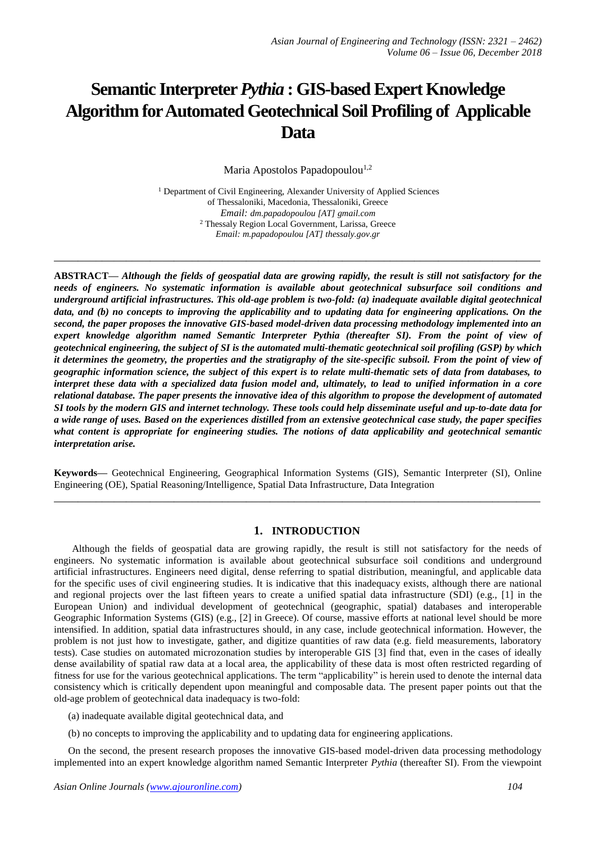# **Semantic Interpreter** *Pythia* **: GIS-based Expert Knowledge Algorithm for Automated Geotechnical Soil Profiling of Applicable Data**

Maria Apostolos Papadopoulou<sup>1,2</sup>

<sup>1</sup> Department of Civil Engineering, Alexander University of Applied Sciences of Thessaloniki, Macedonia, Thessaloniki, Greece *Email: [dm.papadopoulou \[AT\] gmail.com](mailto:dm.papadopoulou@gmail.com)* <sup>2</sup> Thessaly Region Local Government, Larissa, Greece *Email: m.papadopoulou [AT] thessaly.gov.gr*

**\_\_\_\_\_\_\_\_\_\_\_\_\_\_\_\_\_\_\_\_\_\_\_\_\_\_\_\_\_\_\_\_\_\_\_\_\_\_\_\_\_\_\_\_\_\_\_\_\_\_\_\_\_\_\_\_\_\_\_\_\_\_\_\_\_\_\_\_\_\_\_\_\_\_\_\_\_\_\_\_\_**

**ABSTRACT—** *Although the fields of geospatial data are growing rapidly, the result is still not satisfactory for the needs of engineers. No systematic information is available about geotechnical subsurface soil conditions and underground artificial infrastructures. This old-age problem is two-fold: (a) inadequate available digital geotechnical data, and (b) no concepts to improving the applicability and to updating data for engineering applications. On the second, the paper proposes the innovative GIS-based model-driven data processing methodology implemented into an expert knowledge algorithm named Semantic Interpreter Pythia (thereafter SI). From the point of view of geotechnical engineering, the subject of SI is the automated multi-thematic geotechnical soil profiling (GSP) by which it determines the geometry, the properties and the stratigraphy of the site-specific subsoil. From the point of view of geographic information science, the subject of this expert is to relate multi-thematic sets of data from databases, to interpret these data with a specialized data fusion model and, ultimately, to lead to unified information in a core relational database. The paper presents the innovative idea of this algorithm to propose the development of automated SI tools by the modern GIS and internet technology. These tools could help disseminate useful and up-to-date data for a wide range of uses. Based on the experiences distilled from an extensive geotechnical case study, the paper specifies what content is appropriate for engineering studies. The notions of data applicability and geotechnical semantic interpretation arise.*

**Keywords—** Geotechnical Engineering, Geographical Information Systems (GIS), Semantic Interpreter (SI), Online Engineering (OE), Spatial Reasoning/Intelligence, Spatial Data Infrastructure, Data Integration **\_\_\_\_\_\_\_\_\_\_\_\_\_\_\_\_\_\_\_\_\_\_\_\_\_\_\_\_\_\_\_\_\_\_\_\_\_\_\_\_\_\_\_\_\_\_\_\_\_\_\_\_\_\_\_\_\_\_\_\_\_\_\_\_\_\_\_\_\_\_\_\_\_\_\_\_\_\_\_\_\_**

# **1. INTRODUCTION**

Although the fields of geospatial data are growing rapidly, the result is still not satisfactory for the needs of engineers. No systematic information is available about geotechnical subsurface soil conditions and underground artificial infrastructures. Engineers need digital, dense referring to spatial distribution, meaningful, and applicable data for the specific uses of civil engineering studies. It is indicative that this inadequacy exists, although there are national and regional projects over the last fifteen years to create a unified spatial data infrastructure (SDI) (e.g., [1] in the European Union) and individual development of geotechnical (geographic, spatial) databases and interoperable Geographic Information Systems (GIS) (e.g., [2] in Greece). Of course, massive efforts at national level should be more intensified. In addition, spatial data infrastructures should, in any case, include geotechnical information. However, the problem is not just how to investigate, gather, and digitize quantities of raw data (e.g. field measurements, laboratory tests). Case studies on automated microzonation studies by interoperable GIS [3] find that, even in the cases of ideally dense availability of spatial raw data at a local area, the applicability of these data is most often restricted regarding of fitness for use for the various geotechnical applications. The term "applicability" is herein used to denote the internal [data](https://en.wikipedia.org/wiki/Data_consistency)  [consistency](https://en.wikipedia.org/wiki/Data_consistency) which is critically dependent upon meaningful and composable data. The present paper points out that the old-age problem of geotechnical data inadequacy is two-fold:

(a) inadequate available digital geotechnical data, and

(b) no concepts to improving the applicability and to updating data for engineering applications.

On the second, the present research proposes the innovative GIS-based model-driven data processing methodology implemented into an expert knowledge algorithm named Semantic Interpreter *Pythia* (thereafter SI). From the viewpoint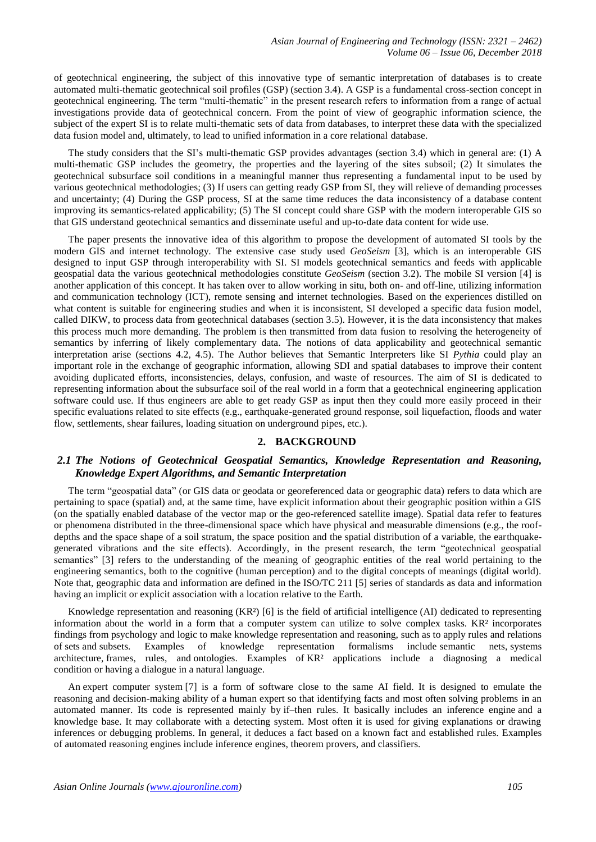of geotechnical engineering, the subject of this innovative type of semantic interpretation of databases is to create automated multi-thematic geotechnical soil profiles (GSP) (section 3.4). A GSP is a fundamental cross-section concept in geotechnical engineering. The term "multi-thematic" in the present research refers to information from a range of actual investigations provide data of geotechnical concern. From the point of view of geographic information science, the subject of the expert SI is to relate multi-thematic sets of data from databases, to interpret these data with the specialized data fusion model and, ultimately, to lead to unified information in a core relational database.

The study considers that the SI's multi-thematic GSP provides advantages (section 3.4) which in general are: (1) A multi-thematic GSP includes the geometry, the properties and the layering of the sites subsoil; (2) It simulates the geotechnical subsurface soil conditions in a meaningful manner thus representing a fundamental input to be used by various geotechnical methodologies; (3) If users can getting ready GSP from SI, they will relieve of demanding processes and uncertainty; (4) During the GSP process, SI at the same time reduces the data inconsistency of a database content improving its semantics-related applicability; (5) The SI concept could share GSP with the modern interoperable GIS so that GIS understand geotechnical semantics and disseminate useful and up-to-date data content for wide use.

The paper presents the innovative idea of this algorithm to propose the development of automated SI tools by the modern GIS and internet technology. The extensive case study used *GeoSeism* [3], which is an interoperable GIS designed to input GSP through interoperability with SI. SI models geotechnical semantics and feeds with applicable geospatial data the various geotechnical methodologies constitute *GeoSeism* (section 3.2). The mobile SI version [4] is another application of this concept. It has taken over to allow working in situ, both on- and off-line, utilizing information and communication technology (ICT), remote sensing and internet technologies. Based on the experiences distilled on what content is suitable for engineering studies and when it is inconsistent, SI developed a specific data fusion model, called DIKW, to process data from geotechnical databases (section 3.5). However, it is the data inconsistency that makes this process much more demanding. The problem is then transmitted from data fusion to resolving the heterogeneity of semantics by inferring of likely complementary data. The notions of data applicability and geotechnical semantic interpretation arise (sections 4.2, 4.5). The Author believes that Semantic Interpreters like SI *Pythia* could play an important role in the exchange of geographic information, allowing SDI and spatial databases to improve their content avoiding duplicated efforts, inconsistencies, delays, confusion, and waste of resources. The aim of SI is dedicated to representing information about the subsurface soil of the real world in a form that a geotechnical engineering application software could use. If thus engineers are able to get ready GSP as input then they could more easily proceed in their specific evaluations related to site effects (e.g., earthquake-generated ground response, soil liquefaction, floods and water flow, settlements, shear failures, loading situation on underground pipes, etc.).

## **2. BACKGROUND**

# *2.1 The Notions of Geotechnical Geospatial Semantics, Knowledge Representation and Reasoning, Knowledge Expert Algorithms, and Semantic Interpretation*

The term "geospatial data" (or GIS data or geodata or [georeferenced](https://en.wikipedia.org/wiki/Georeferencing) data or geographic data) refers to data which are pertaining to space (spatial) and, at the same time, have explicit information about their geographic position within a GIS (on the spatially enabled database of the vector map or the geo-referenced satellite image). Spatial data refer to features or phenomena distributed in the three-dimensional space which have physical and measurable dimensions (e.g., the roofdepths and the space shape of a soil stratum, the space position and the spatial distribution of a variable, the earthquakegenerated vibrations and the site effects). Accordingly, in the present research, the term "geotechnical geospatial semantics" [3] refers to the understanding of the meaning of geographic entities of the real world pertaining to the engineering semantics, both to the cognitive (human perception) and to the digital concepts of meanings (digital world). Note that, geographic data and information are defined in the [ISO/TC 211](https://en.wikipedia.org/wiki/ISO/TC_211) [5] series of standards as data and information having an implicit or explicit association with a location relative to the Earth.

[Knowledge representation and reasoning](https://en.wikipedia.org/wiki/Knowledge_representation_and_reasoning) (KR²) [6] is the field of [artificial intelligence](https://en.wikipedia.org/wiki/Artificial_intelligence) (AI) dedicated to representing information about the world in a form that a computer system can utilize to solve complex tasks. KR² incorporates findings from psychology and [logic](https://en.wikipedia.org/wiki/Logic) to make knowledge representation and reasoning, such as to apply rules and relations of [sets](https://en.wikipedia.org/wiki/Set_theory) and [subsets.](https://en.wikipedia.org/wiki/Subset) Examples of knowledge representation formalisms include [semantic nets,](https://en.wikipedia.org/wiki/Semantic_network) [systems](https://en.wikipedia.org/wiki/Systems_architecture)  [architecture,](https://en.wikipedia.org/wiki/Systems_architecture) [frames,](https://en.wikipedia.org/wiki/Frame_(artificial_intelligence)) rules, and [ontologies.](https://en.wikipedia.org/wiki/Ontology_(information_science)) Examples of KR² applications include a [diagnosing a medical](https://en.wikipedia.org/wiki/Computer-aided_diagnosis)  [condition](https://en.wikipedia.org/wiki/Computer-aided_diagnosis) or having a dialogue [in a natural language.](https://en.wikipedia.org/wiki/Natural_language_user_interface)

An [expert computer system](https://en.wikipedia.org/wiki/Expert_system) [7] is a form of software close to the same AI field. It is designed to emulate the reasoning and decision-making ability of a human expert so that identifying facts and most often solving problems in an automated manner. Its code is represented mainly by [if–then rules.](https://en.wikipedia.org/wiki/Rule-based_system) It basically includes an [inference engine](https://en.wikipedia.org/wiki/Inference_engine) and a [knowledge base.](https://en.wikipedia.org/wiki/Knowledge_base) It may collaborate with a detecting system. Most often it is used for giving explanations or drawing inferences or debugging problems. In general, it deduces a fact based on a known fact and established rules. Examples of [automated reasoning](https://en.wikipedia.org/wiki/Automated_reasoning) engines include [inference engines,](https://en.wikipedia.org/wiki/Inference_engine) [theorem provers,](https://en.wikipedia.org/wiki/Automated_theorem_proving) and classifiers.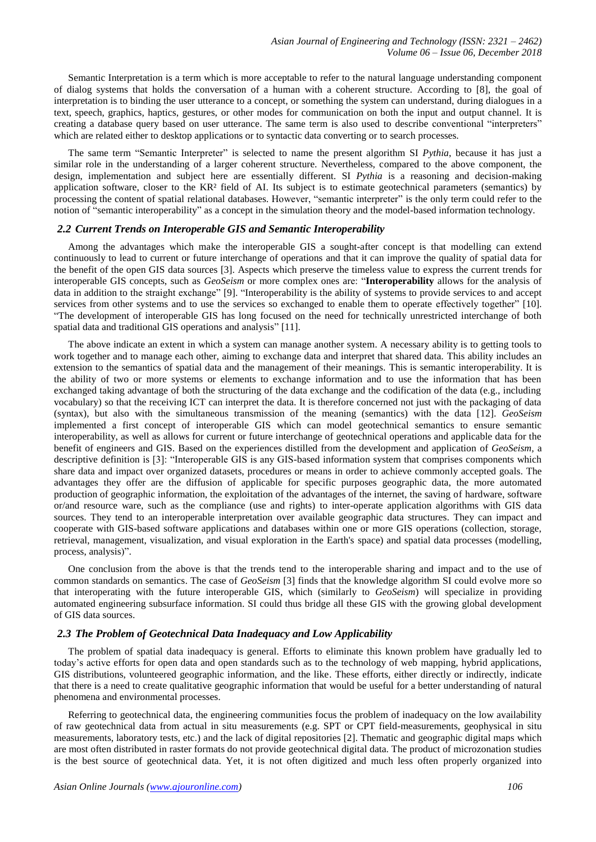[Semantic Interpretation](https://en.wikipedia.org/wiki/Semantic_interpretation) is a term which is more acceptable to refer to the [natural language understanding](https://en.wikipedia.org/wiki/Natural_language_understanding) component of [dialog systems](https://en.wikipedia.org/wiki/Dialog_system) that holds the conversation of a human with a coherent structure. According to [8], the goal of interpretation is to binding the user [utterance](https://en.wikipedia.org/wiki/Utterance) to a concept, or something the system can understand, during dialogues in a text, speech, graphics, haptics, gestures, or other modes for communication on both the input and output channel. It is creating a database query based on user utterance. The same term is also used to describe conventional "interpreters" which are related either to desktop applications or to syntactic data converting or to search processes.

The same term "Semantic Interpreter" is selected to name the present algorithm SI *Pythia*, because it has just a similar role in the understanding of a larger coherent structure. Nevertheless, compared to the above component, the design, implementation and subject here are essentially different. SI *Pythia* is a reasoning and decision-making application software, closer to the KR² field of AI. Its subject is to estimate geotechnical parameters (semantics) by processing the content of spatial relational databases. However, "semantic interpreter" is the only term could refer to the notion of "semantic interoperability" as a concept in the [simulation](https://en.wikipedia.org/wiki/Simulation) theory and the model-based information technology.

## *2.2 Current Trends on Interoperable GIS and Semantic Interoperability*

Among the advantages which make the interoperable GIS a sought-after concept is that modelling can extend continuously to lead to current or future interchange of operations and that it can improve the quality of spatial data for the benefit of the open GIS data sources [3]. Aspects which preserve the timeless value to express the current trends for interoperable GIS concepts, such as *GeoSeism* or more complex ones are: "**Interoperability** allows for the analysis of data in addition to the straight exchange" [9]. "Interoperability is the ability of systems to provide services to and accept services from other systems and to use the services so exchanged to enable them to operate effectively together" [10]. "The development of interoperable GIS has long focused on the need for technically unrestricted interchange of both spatial data and traditional GIS operations and analysis" [11].

The above indicate an extent in which a system can manage another system. A necessary ability is to getting tools to work together and to manage each other, aiming to exchange data and interpret that shared data. This ability includes an extension to the semantics of spatial data and the management of their meanings. This is semantic interoperability. It is the ability of two or more systems or elements to exchange information and to use the information that has been exchanged taking advantage of both the structuring of the data exchange and the codification of the data (e.g., including vocabulary) so that the receiving ICT can interpret the data. It is therefore concerned not just with the packaging of data [\(syntax\)](https://en.wikipedia.org/wiki/Syntax), but also with the simultaneous transmission of the meaning (semantics) with the data [12]. *GeoSeism* implemented a first concept of interoperable GIS which can model geotechnical semantics to ensure semantic interoperability, as well as allows for current or future interchange of geotechnical operations and applicable data for the benefit of engineers and GIS. Based on the experiences distilled from the development and application of *GeoSeism,* a descriptive definition is [3]: "Interoperable GIS is any GIS-based information system that comprises components which share data and impact over organized datasets, procedures or means in order to achieve commonly accepted goals. The advantages they offer are the diffusion of applicable for specific purposes geographic data, the more automated production of geographic information, the exploitation of the advantages of the internet, the saving of hardware, software or/and resource ware, such as the compliance (use and rights) to inter-operate application algorithms with GIS data sources. They tend to an interoperable interpretation over available geographic data structures. They can impact and cooperate with GIS-based software applications and databases within one or more GIS operations (collection, storage, retrieval, management, visualization, and visual exploration in the Earth's space) and spatial data processes (modelling, process, analysis)".

One conclusion from the above is that the trends tend to the interoperable sharing and impact and to the use of common standards on semantics. The case of *GeoSeism* [3] finds that the knowledge algorithm SI could evolve more so that interoperating with the future interoperable GIS, which (similarly to *GeoSeism*) will specialize in providing automated engineering subsurface information. SI could thus bridge all these GIS with the growing global development of GIS data sources.

## *2.3 The Problem of Geotechnical Data Inadequacy and Low Applicability*

The problem of spatial data inadequacy is general. Efforts to eliminate this known problem have gradually led to today's active efforts for open data and open standards such as to the technology of web mapping, hybrid applications, GIS distributions, volunteered geographic information, and the like. These efforts, either directly or indirectly, indicate that there is a need to create qualitative geographic information that would be useful for a better understanding of natural phenomena and environmental processes.

Referring to geotechnical data, the engineering communities focus the problem of inadequacy on the low availability of raw geotechnical data from actual in situ measurements (e.g. SPT or CPT field-measurements, geophysical in situ measurements, laboratory tests, etc.) and the lack of digital repositories [2]. Thematic and geographic digital maps which are most often distributed in raster formats do not provide geotechnical digital data. The product of microzonation studies is the best source of geotechnical data. Yet, it is not often digitized and much less often properly organized into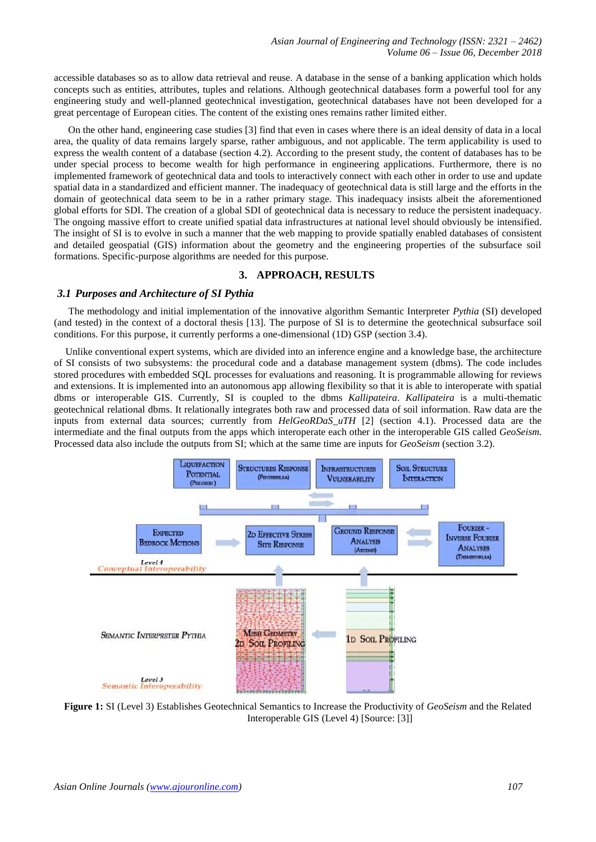accessible databases so as to allow data retrieval and reuse. A database in the sense of a banking application which holds concepts such as entities, attributes, tuples and relations. Although geotechnical databases form a powerful tool for any engineering study and well-planned geotechnical investigation, geotechnical databases have not been developed for a great percentage of European cities. The content of the existing ones remains rather limited either.

On the other hand, engineering case studies [3] find that even in cases where there is an ideal density of data in a local area, the quality of data remains largely sparse, rather ambiguous, and not applicable. The term applicability is used to express the wealth content of a database (section 4.2). According to the present study, the content of databases has to be under special process to become wealth for high performance in engineering applications. Furthermore, there is no implemented framework of geotechnical data and tools to interactively connect with each other in order to use and update spatial data in a standardized and efficient manner. The inadequacy of geotechnical data is still large and the efforts in the domain of geotechnical data seem to be in a rather primary stage. This inadequacy insists albeit the aforementioned global efforts for SDI. The creation of a global SDI of geotechnical data is necessary to reduce the persistent inadequacy. The ongoing massive effort to create unified spatial data infrastructures at national level should obviously be intensified. The insight of SI is to evolve in such a manner that the web mapping to provide spatially enabled databases of consistent and detailed geospatial (GIS) information about the geometry and the engineering properties of the subsurface soil formations. Specific-purpose algorithms are needed for this purpose.

## **3. APPROACH, RESULTS**

## *3.1 Purposes and Architecture of SI Pythia*

The methodology and initial implementation of the innovative algorithm Semantic Interpreter *Pythia* (SI) developed (and tested) in the context of a doctoral thesis [13]. The purpose of SI is to determine the geotechnical subsurface soil conditions. For this purpose, it currently performs a one-dimensional (1D) GSP (section 3.4).

Unlike conventional expert systems, which are divided into an [inference engine](https://en.wikipedia.org/wiki/Inference_engine) and a [knowledge base,](https://en.wikipedia.org/wiki/Knowledge_base) the architecture of SI consists of two subsystems: the [procedural code](https://en.wikipedia.org/wiki/Procedural_programming) and a database management system (dbms). The code includes stored procedures with embedded SQL processes for evaluations and reasoning. It is programmable allowing for reviews and extensions. It is implemented into an autonomous app allowing flexibility so that it is able to interoperate with spatial dbms or interoperable GIS. Currently, SI is coupled to the dbms *Kallipateira*. *Kallipateira* is a multi-thematic geotechnical relational dbms. It relationally integrates both raw and processed data of soil information. Raw data are the inputs from external data sources; currently from *HelGeoRDaS\_uTH* [2] (section 4.1). Processed data are the intermediate and the final outputs from the apps which interoperate each other in the interoperable GIS called *GeoSeism.*  Processed data also include the outputs from SI; which at the same time are inputs for *GeoSeism* (section 3.2).



**Figure 1:** SI (Level 3) Establishes Geotechnical Semantics to Increase the Productivity of *GeoSeism* and the Related Interoperable GIS (Level 4) [Source: [3]]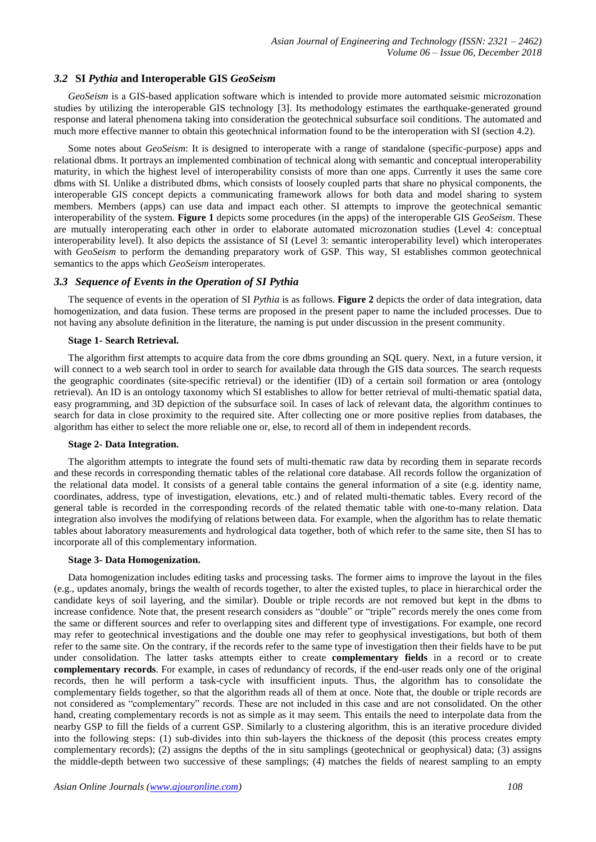## *3.2* **SI** *Pythia* **and Interoperable GIS** *GeoSeism*

*GeoSeism* is a GIS-based application software which is intended to provide more automated seismic microzonation studies by utilizing the interoperable GIS technology [3]. Its methodology estimates the earthquake-generated ground response and lateral phenomena taking into consideration the geotechnical subsurface soil conditions. The automated and much more effective manner to obtain this geotechnical information found to be the interoperation with SI (section 4.2).

Some notes about *GeoSeism*: It is designed to interoperate with a range of standalone (specific-purpose) apps and relational dbms. It portrays an implemented combination of technical along with semantic and conceptual interoperability maturity, in which the highest level of interoperability consists of more than one apps. Currently it uses the same core dbms with SI*.* Unlike a distributed dbms, which consists of loosely coupled parts that share no physical components, the interoperable GIS concept depicts a [communicating](https://en.wikipedia.org/wiki/Inter-process_communication) framework allows for both data and model sharing to system members. Members (apps) can use data and impact each other. SI attempts to improve the geotechnical semantic interoperability of the system. **Figure 1** depicts some procedures (in the apps) of the interoperable GIS *GeoSeism*. These are mutually interoperating each other in order to elaborate automated microzonation studies (Level 4: conceptual interoperability level). It also depicts the assistance of SI (Level 3: semantic interoperability level) which interoperates with *GeoSeism* to perform the demanding preparatory work of GSP. This way, SI establishes common geotechnical semantics to the apps which *GeoSeism* interoperates.

## *3.3 Sequence of Events in the Operation of SI Pythia*

The sequence of events in the operation of SI *Pythia* is as follows. **Figure 2** depicts the order of data integration, data homogenization, and data fusion. These terms are proposed in the present paper to name the included processes. Due to not having any absolute definition in the literature, the naming is put under discussion in the present community.

#### **Stage 1- Search Retrieval.**

The algorithm first attempts to acquire data from the core dbms grounding an SQL query. Next, in a future version, it will connect to a web search tool in order to search for available data through the GIS data sources. The search requests the geographic coordinates (site-specific retrieval) or the identifier (ID) of a certain soil formation or area (ontology retrieval). An ID is an ontology taxonomy which SI establishes to allow for better retrieval of multi-thematic spatial data, easy programming, and 3D depiction of the subsurface soil. In cases of lack of relevant data, the algorithm continues to search for data in close proximity to the required site. After collecting one or more positive replies from databases, the algorithm has either to select the more reliable one or, else, to record all of them in independent records.

#### **Stage 2- Data Integration.**

The algorithm attempts to integrate the found sets of multi-thematic raw data by recording them in separate records and these records in corresponding thematic tables of the relational core database. All records follow the organization of the relational data model. It consists of a general table contains the general information of a site (e.g. identity name, coordinates, address, type of investigation, elevations, etc.) and of related multi-thematic tables. Every record of the general table is recorded in the corresponding records of the related thematic table with one-to-many relation. Data integration also involves the modifying of relations between data. For example, when the algorithm has to relate thematic tables about laboratory measurements and hydrological data together, both of which refer to the same site, then SI has to incorporate all of this complementary information.

#### **Stage 3- Data Homogenization.**

Data homogenization includes editing tasks and processing tasks. The former aims to improve the layout in the files (e.g., updates anomaly, brings the wealth of records together, to alter the existed tuples, to place in hierarchical order the candidate keys of soil layering, and the similar). Double or triple records are not removed but kept in the dbms to increase confidence. Note that, the present research considers as "double" or "triple" records merely the ones come from the same or different sources and refer to overlapping sites and different type of investigations. For example, one record may refer to geotechnical investigations and the double one may refer to geophysical investigations, but both of them refer to the same site. On the contrary, if the records refer to the same type of investigation then their fields have to be put under consolidation. The latter tasks attempts either to create **complementary fields** in a record or to create **complementary records**. For example, in cases of redundancy of records, if the end-user reads only one of the original records, then he will perform a task-cycle with insufficient inputs. Thus, the algorithm has to consolidate the complementary fields together, so that the algorithm reads all of them at once. Note that, the double or triple records are not considered as "complementary" records. These are not included in this case and are not consolidated. On the other hand, creating complementary records is not as simple as it may seem. This entails the need to interpolate data from the nearby GSP to fill the fields of a current GSP. Similarly to a clustering algorithm, this is an iterative procedure divided into the following steps: (1) sub-divides into thin sub-layers the thickness of the deposit (this process creates empty complementary records); (2) assigns the depths of the in situ samplings (geotechnical or geophysical) data; (3) assigns the middle-depth between two successive of these samplings; (4) matches the fields of nearest sampling to an empty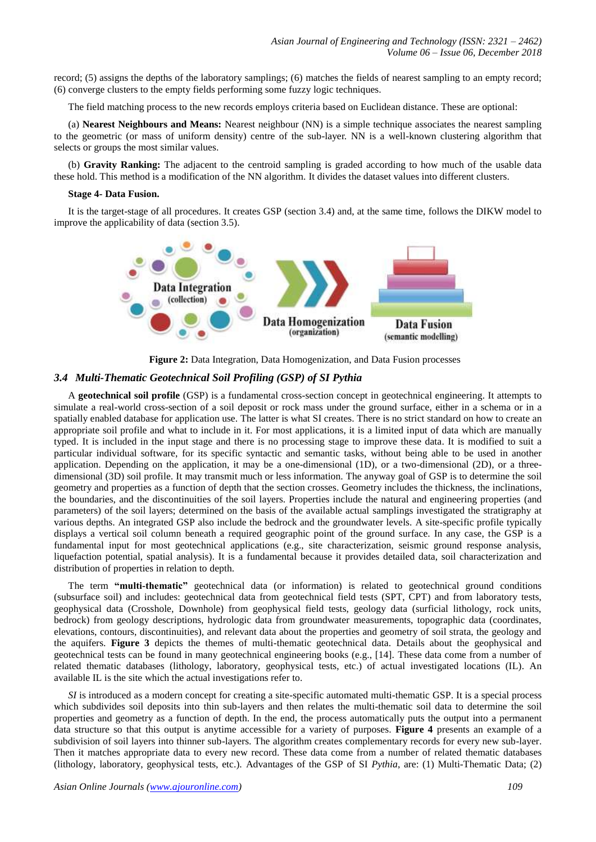record; (5) assigns the depths of the laboratory samplings; (6) matches the fields of nearest sampling to an empty record; (6) converge clusters to the empty fields performing some fuzzy logic techniques.

The field matching process to the new records employs criteria based on Euclidean distance. These are optional:

(a) **Nearest Neighbours and Means:** Nearest neighbour (NN) is a simple technique associates the nearest sampling to the geometric (or mass of uniform density) centre of the sub-layer. NN is a well-known clustering algorithm that selects or groups the most similar values.

(b) **Gravity Ranking:** The adjacent to the centroid sampling is graded according to how much of the usable data these hold. This method is a modification of the NN algorithm. It divides the dataset values into different clusters.

## **Stage 4- Data Fusion.**

It is the target-stage of all procedures. It creates GSP (section 3.4) and, at the same time, follows the DIKW model to improve the applicability of data (section 3.5).



**Figure 2:** Data Integration, Data Homogenization, and Data Fusion processes

## *3.4 Multi-Thematic Geotechnical Soil Profiling (GSP) of SI Pythia*

A **geotechnical soil profile** (GSP) is a fundamental cross-section concept in geotechnical engineering. It attempts to simulate a real-world cross-section of a soil deposit or rock mass under the ground surface, either in a schema or in a spatially enabled database for application use. The latter is what SI creates. There is no strict standard on how to create an appropriate soil profile and what to include in it. For most applications, it is a limited input of data which are manually typed. It is included in the input stage and there is no processing stage to improve these data. It is modified to suit a particular individual software, for its specific syntactic and semantic tasks, without being able to be used in another application. Depending on the application, it may be a one-dimensional (1D), or a two-dimensional (2D), or a threedimensional (3D) soil profile. It may transmit much or less information. The anyway goal of GSP is to determine the soil geometry and properties as a function of depth that the section crosses. Geometry includes the thickness, the inclinations, the boundaries, and the discontinuities of the soil layers. Properties include the natural and engineering properties (and parameters) of the soil layers; determined on the basis of the available actual samplings investigated the stratigraphy at various depths. An integrated GSP also include the bedrock and the groundwater levels. A site-specific profile typically displays a vertical soil column beneath a required geographic point of the ground surface. In any case, the GSP is a fundamental input for most geotechnical applications (e.g., site characterization, seismic ground response analysis, liquefaction potential, spatial analysis). It is a fundamental because it provides detailed data, soil characterization and distribution of properties in relation to depth.

The term **"multi-thematic"** geotechnical data (or information) is related to geotechnical ground conditions (subsurface soil) and includes: geotechnical data from geotechnical field tests (SPT, CPT) and from laboratory tests, geophysical data (Crosshole, Downhole) from geophysical field tests, geology data (surficial lithology, rock units, bedrock) from geology descriptions, hydrologic data from groundwater measurements, topographic data (coordinates, elevations, contours, discontinuities), and relevant data about the properties and geometry of soil strata, the geology and the aquifers. **Figure 3** depicts the themes of multi-thematic geotechnical data. Details about the geophysical and geotechnical tests can be found in many geotechnical engineering books (e.g., [14]. These data come from a number of related thematic databases (lithology, laboratory, geophysical tests, etc.) of actual investigated locations (IL). An available IL is the site which the actual investigations refer to.

*SI* is introduced as a modern concept for creating a site-specific automated multi-thematic GSP. It is a special process which subdivides soil deposits into thin sub-layers and then relates the multi-thematic soil data to determine the soil properties and geometry as a function of depth. In the end, the process automatically puts the output into a permanent data structure so that this output is anytime accessible for a variety of purposes. **Figure 4** presents an example of a subdivision of soil layers into thinner sub-layers. The algorithm creates complementary records for every new sub-layer. Then it matches appropriate data to every new record. These data come from a number of related thematic databases (lithology, laboratory, geophysical tests, etc.). Advantages of the GSP of SI *Pythia*, are: (1) Multi-Thematic Data; (2)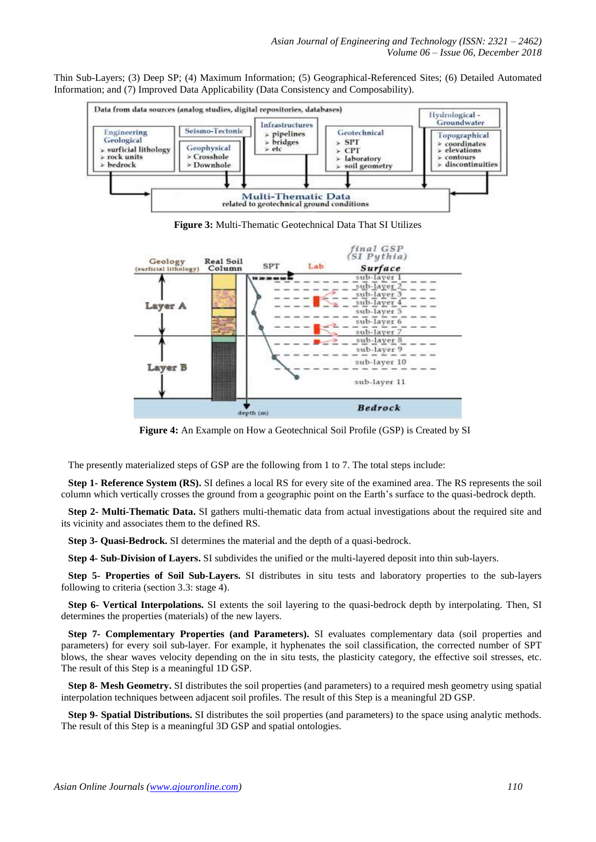Thin Sub-Layers; (3) Deep SP; (4) Maximum Information; (5) Geographical-Referenced Sites; (6) Detailed Automated Information; and (7) Improved Data Applicability (Data Consistency and Composability).



**Figure 3:** Multi-Thematic Geotechnical Data That SI Utilizes



**Figure 4:** An Example on How a Geotechnical Soil Profile (GSP) is Created by SI

The presently materialized steps of GSP are the following from 1 to 7. The total steps include:

**Step 1- Reference System (RS).** SI defines a local RS for every site of the examined area. The RS represents the soil column which vertically crosses the ground from a geographic point on the Earth's surface to the quasi-bedrock depth.

**Step 2- Multi-Thematic Data.** SI gathers multi-thematic data from actual investigations about the required site and its vicinity and associates them to the defined RS.

**Step 3- Quasi-Bedrock.** SI determines the material and the depth of a quasi-bedrock.

**Step 4- Sub-Division of Layers.** SI subdivides the unified or the multi-layered deposit into thin sub-layers.

**Step 5- Properties of Soil Sub-Layers.** SI distributes in situ tests and laboratory properties to the sub-layers following to criteria (section 3.3: stage 4).

**Step 6- Vertical Interpolations.** SI extents the soil layering to the quasi-bedrock depth by interpolating. Then, SI determines the properties (materials) of the new layers.

**Step 7- Complementary Properties (and Parameters).** SI evaluates complementary data (soil properties and parameters) for every soil sub-layer. For example, it hyphenates the soil classification, the corrected number of SPT blows, the shear waves velocity depending on the in situ tests, the plasticity category, the effective soil stresses, etc. The result of this Step is a meaningful 1D GSP.

**Step 8- Mesh Geometry.** SI distributes the soil properties (and parameters) to a required mesh geometry using spatial interpolation techniques between adjacent soil profiles. The result of this Step is a meaningful 2D GSP.

**Step 9- Spatial Distributions.** SI distributes the soil properties (and parameters) to the space using analytic methods. The result of this Step is a meaningful 3D GSP and spatial ontologies.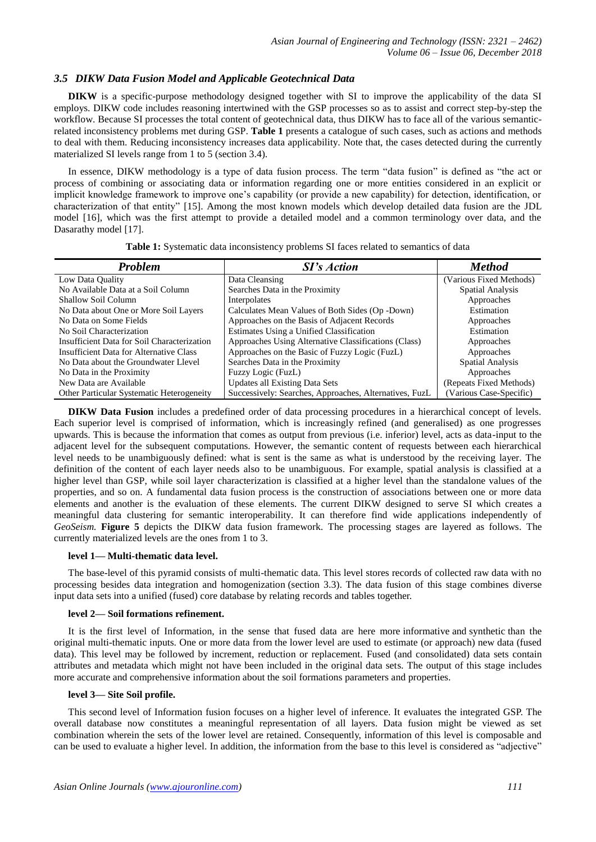# *3.5 DIKW Data Fusion Model and Applicable Geotechnical Data*

**DIKW** is a specific-purpose methodology designed together with SI to improve the applicability of the data SI employs. DIKW code includes reasoning intertwined with the GSP processes so as to assist and correct step-by-step the workflow. Because SI processes the total content of geotechnical data, thus DIKW has to face all of the various semanticrelated inconsistency problems met during GSP. **Table 1** presents a catalogue of such cases, such as actions and methods to deal with them. Reducing inconsistency increases data applicability. Note that, the cases detected during the currently materialized SI levels range from 1 to 5 (section 3.4).

In essence, DIKW methodology is a type of data fusion process. The term ["data fusion"](https://en.wikipedia.org/wiki/Data_fusion) is defined as "the act or process of combining or associating data or information regarding one or more entities considered in an explicit or implicit knowledge framework to improve one's capability (or provide a new capability) for detection, identification, or characterization of that entity" [15]. Among the most known models which develop detailed data fusion are the JDL model [16], which was the first attempt to provide a detailed model and a common terminology over data, and the Dasarathy model [\[17\].](https://en.wikipedia.org/wiki/Expert_system#cite_note-Hayes-Roth_1983-26)

| <b>Problem</b>                                   | <b>SI's Action</b>                                     | <b>Method</b>           |
|--------------------------------------------------|--------------------------------------------------------|-------------------------|
| Low Data Quality                                 | Data Cleansing                                         | (Various Fixed Methods) |
| No Available Data at a Soil Column               | Searches Data in the Proximity                         | <b>Spatial Analysis</b> |
| Shallow Soil Column                              | Interpolates                                           | Approaches              |
| No Data about One or More Soil Layers            | Calculates Mean Values of Both Sides (Op -Down)        | Estimation              |
| No Data on Some Fields                           | Approaches on the Basis of Adjacent Records            | Approaches              |
| No Soil Characterization                         | Estimates Using a Unified Classification               | Estimation              |
| Insufficient Data for Soil Characterization      | Approaches Using Alternative Classifications (Class)   | Approaches              |
| Insufficient Data for Alternative Class          | Approaches on the Basic of Fuzzy Logic (FuzL)          | Approaches              |
| No Data about the Groundwater Llevel             | Searches Data in the Proximity                         | Spatial Analysis        |
| No Data in the Proximity                         | Fuzzy Logic (FuzL)                                     | Approaches              |
| New Data are Available                           | <b>Updates all Existing Data Sets</b>                  | (Repeats Fixed Methods) |
| <b>Other Particular Systematic Heterogeneity</b> | Successively: Searches, Approaches, Alternatives, FuzL | (Various Case-Specific) |

**Table 1:** Systematic data inconsistency problems SI faces related to semantics of data

**DIKW Data Fusion** includes a predefined order of data processing procedures in a hierarchical concept of levels. Each superior level is comprised of information, which is increasingly refined (and generalised) as one progresses upwards. This is because the information that comes as output from previous (i.e. inferior) level, acts as data-input to the adjacent level for the subsequent computations. However, the semantic content of requests between each hierarchical level needs to be unambiguously defined: what is sent is the same as what is understood by the receiving layer. The definition of the content of each layer needs also to be unambiguous. For example, spatial analysis is classified at a higher level than GSP, while soil layer characterization is classified at a higher level than the standalone values of the properties, and so on. A fundamental data fusion process is the construction of associations between one or more data elements and another is the evaluation of these elements. The current DIKW designed to serve SI which creates a meaningful data clustering for semantic interoperability. It can therefore find wide applications independently of *GeoSeism.* **Figure 5** depicts the DIKW data fusion framework. The processing stages are layered as follows. The currently materialized levels are the ones from 1 to 3.

#### **level 1— Multi-thematic data level.**

The base-level of this pyramid consists of multi-thematic data. This level stores records of collected raw data with no processing besides data integration and homogenization (section 3.3). The data fusion of this stage combines diverse input data sets into a unified (fused) core database by relating records and tables together.

#### **level 2— Soil formations refinement.**

It is the first level of Information, in the sense that fused data are here more [informative](https://en.wikipedia.org/wiki/Entropy_(information_theory)) and [synthetic](https://en.wikipedia.org/wiki/Synthetic_data) than the original multi-thematic inputs. One or more data from the lower level are used to estimate (or approach) new data (fused data). This level may be followed by increment, reduction or replacement. Fused (and consolidated) data sets contain attributes and metadata which might not have been included in the original data sets. The output of this stage includes more accurate and comprehensive information about the soil formations parameters and properties.

## **level 3— Site Soil profile.**

This second level of Information fusion focuses on a higher level of inference. It evaluates the integrated GSP. The overall database now constitutes a meaningful representation of all layers. Data fusion might be viewed as set combination wherein the sets of the lower level are retained. Consequently, information of this level is composable and can be used to evaluate a higher level. In addition, the information from the base to this level is considered as "adjective"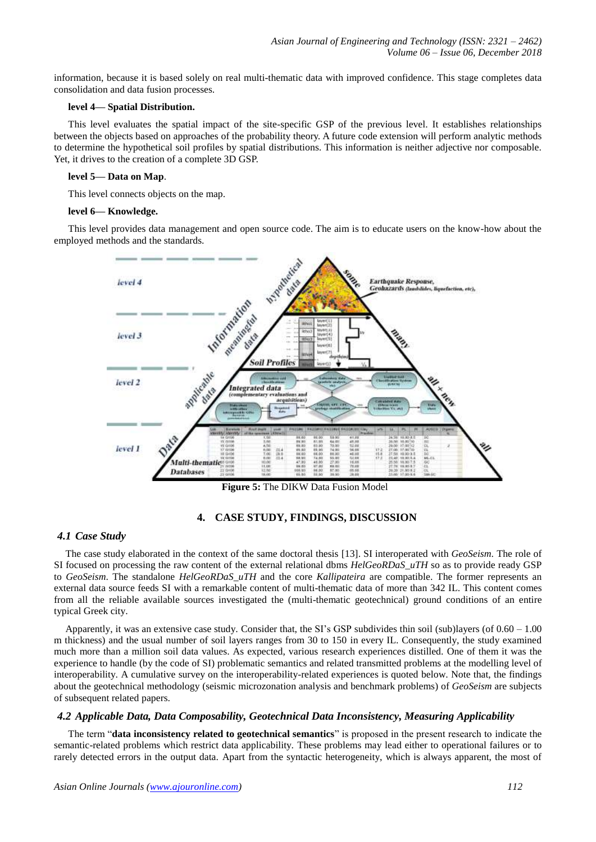information, because it is based solely on real multi-thematic data with improved confidence. This stage completes data consolidation and data fusion processes.

## **level 4— Spatial Distribution.**

This level evaluates the spatial impact of the site-specific GSP of the previous level. It establishes relationships between the objects based on approaches of the probability theory. A future code extension will perform analytic methods to determine the hypothetical soil profiles by spatial distributions. This information is neither adjective nor composable. Yet, it drives to the creation of a complete 3D GSP.

#### **level 5— Data on Map**.

This level connects objects on the map.

#### **level 6— Knowledge.**

This level provides data management and open source code. The aim is to educate users on the know-how about the employed methods and the standards.



**Figure 5:** The DIKW Data Fusion Model

## **4. CASE STUDY, FINDINGS, DISCUSSION**

## *4.1 Case Study*

The case study elaborated in the context of the same doctoral thesis [13]. SI interoperated with *GeoSeism*. The role of SI focused on processing the raw content of the external relational dbms *HelGeoRDaS\_uTH* so as to provide ready GSP to *GeoSeism*. The standalone *HelGeoRDaS\_uTH* and the core *Kallipateira* are compatible. The former represents an external data source feeds SI with a remarkable content of multi-thematic data of more than 342 IL. This content comes from all the reliable available sources investigated the (multi-thematic geotechnical) ground conditions of an entire typical Greek city.

Apparently, it was an extensive case study. Consider that, the SI's GSP subdivides thin soil (sub)layers (of 0.60 – 1.00 m thickness) and the usual number of soil layers ranges from 30 to 150 in every IL. Consequently, the study examined much more than a million soil data values. As expected, various research experiences distilled. One of them it was the experience to handle (by the code of SI) problematic semantics and related transmitted problems at the modelling level of interoperability. A cumulative survey on the interoperability-related experiences is quoted below. Note that, the findings about the geotechnical methodology (seismic microzonation analysis and benchmark problems) of *GeoSeism* are subjects of subsequent related papers.

## *4.2 Applicable Data, Data Composability, Geotechnical Data Inconsistency, Measuring Applicability*

The term "**data inconsistency related to geotechnical semantics**" is proposed in the present research to indicate the semantic-related problems which restrict data applicability. These problems may lead either to operational failures or to rarely detected errors in the output data. Apart from the syntactic heterogeneity, which is always apparent, the most of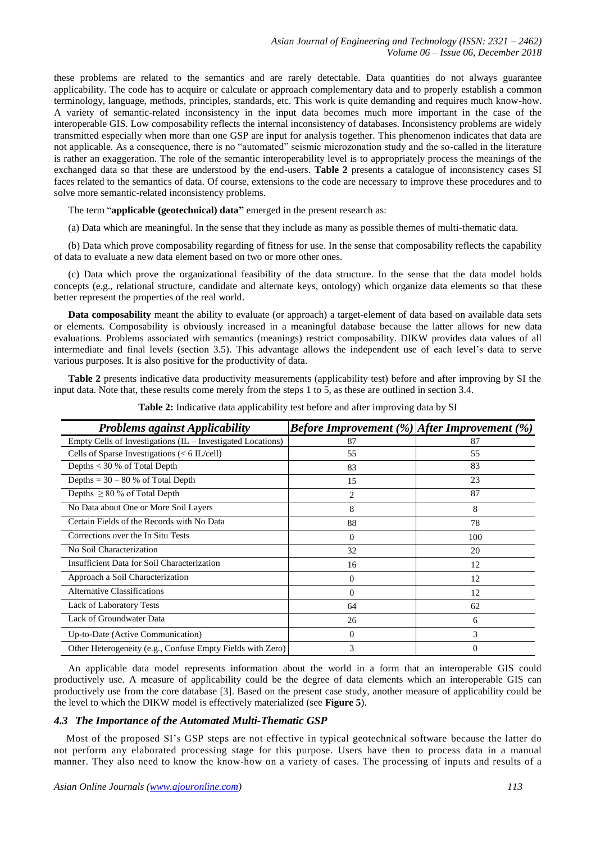these problems are related to the semantics and are rarely detectable. Data quantities do not always guarantee applicability. The code has to acquire or calculate or approach complementary data and to properly establish a common terminology, language, methods, principles, standards, etc. This work is quite demanding and requires much know-how. A variety of semantic-related inconsistency in the input data becomes much more important in the case of the interoperable GIS. Low composability reflects the internal inconsistency of databases. Inconsistency problems are widely transmitted especially when more than one GSP are input for analysis together. This phenomenon indicates that data are not applicable. As a consequence, there is no "automated" seismic microzonation study and the so-called in the literature is rather an exaggeration. The role of the semantic interoperability level is to appropriately process the meanings of the exchanged data so that these are understood by the end-users. **Table 2** presents a catalogue of inconsistency cases SI faces related to the semantics of data. Of course, extensions to the code are necessary to improve these procedures and to solve more semantic-related inconsistency problems.

The term "**applicable (geotechnical) data"** emerged in the present research as:

(a) Data which are meaningful. In the sense that they include as many as possible themes of multi-thematic data.

(b) Data which prove composability regarding of fitness for use. In the sense that composability reflects the capability of data to evaluate a new data element based on two or more other ones.

(c) Data which prove the organizational feasibility of the data structure. In the sense that the data model holds concepts (e.g., relational structure, candidate and [alternate keys,](https://en.wikipedia.org/wiki/Alternate_key) ontology) which organize data elements so that these better represent the properties of the real world.

**Data composability** meant the ability to evaluate (or approach) a target-element of data based on available data sets or elements. Composability is obviously increased in a meaningful database because the latter allows for new data evaluations. Problems associated with semantics (meanings) restrict composability. DIKW provides data values of all intermediate and final levels (section 3.5). This advantage allows the independent use of each level's data to serve various purposes. It is also positive for the productivity of data.

**Table 2** presents indicative data productivity measurements (applicability test) before and after improving by SI the input data. Note that, these results come merely from the steps 1 to 5, as these are outlined in section 3.4.

| <b>Problems against Applicability</b>                         | <b>Before Improvement</b> $(\%)$ After Improvement $(\%)$ |     |
|---------------------------------------------------------------|-----------------------------------------------------------|-----|
| Empty Cells of Investigations $(IL - Investigated Locations)$ | 87                                                        | 87  |
| Cells of Sparse Investigations $(< 6$ IL/cell)                | 55                                                        | 55  |
| Depths $<$ 30 % of Total Depth                                | 83                                                        | 83  |
| Depths = $30 - 80$ % of Total Depth                           | 15                                                        | 23  |
| Depths $\geq 80$ % of Total Depth                             | 2                                                         | 87  |
| No Data about One or More Soil Layers                         | 8                                                         | 8   |
| Certain Fields of the Records with No Data                    | 88                                                        | 78  |
| Corrections over the In Situ Tests                            | $\Omega$                                                  | 100 |
| No Soil Characterization                                      | 32                                                        | 20  |
| Insufficient Data for Soil Characterization                   | 16                                                        | 12  |
| Approach a Soil Characterization                              | $\Omega$                                                  | 12  |
| <b>Alternative Classifications</b>                            | $\Omega$                                                  | 12  |
| <b>Lack of Laboratory Tests</b>                               | 64                                                        | 62  |
| Lack of Groundwater Data                                      | 26                                                        | 6   |
| Up-to-Date (Active Communication)                             | $\Omega$                                                  | 3   |
| Other Heterogeneity (e.g., Confuse Empty Fields with Zero)    | 3                                                         | 0   |

**Table 2:** Indicative data applicability test before and after improving data by SI

An applicable data model represents information about the world in a form that an interoperable GIS could productively use. A measure of applicability could be the degree of data elements which an interoperable GIS can productively use from the core database [3]. Based on the present case study, another measure of applicability could be the level to which the DIKW model is effectively materialized (see **Figure 5**).

#### *4.3 The Importance of the Automated Multi-Thematic GSP*

Most of the proposed SI's GSP steps are not effective in typical geotechnical software because the latter do not perform any elaborated processing stage for this purpose. Users have then to process data in a manual manner. They also need to know the know-how on a variety of cases. The processing of inputs and results of a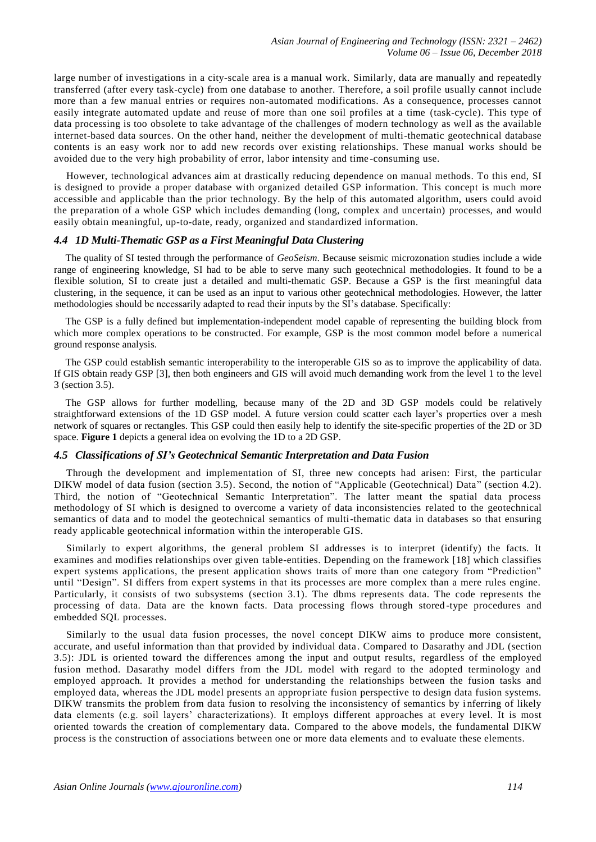large number of investigations in a city-scale area is a manual work. Similarly, data are manually and repeatedly transferred (after every task-cycle) from one database to another. Therefore, a soil profile usually cannot include more than a few manual entries or requires non-automated modifications. As a consequence, processes cannot easily integrate automated update and reuse of more than one soil profiles at a time (task-cycle). This type of data processing is too obsolete to take advantage of the challenges of modern technology as well as the available internet-based data sources. On the other hand, neither the development of multi-thematic geotechnical database contents is an easy work nor to add new records over existing relationships. These manual works should be avoided due to the very high probability of error, labor intensity and time -consuming use.

However, technological advances aim at drastically reducing dependence on manual methods. To this end, SI is designed to provide a proper database with organized detailed GSP information. This concept is much more accessible and applicable than the prior technology. By the help of this automated algorithm, users could avoid the preparation of a whole GSP which includes demanding (long, complex and uncertain) processes, and would easily obtain meaningful, up-to-date, ready, organized and standardized information.

## *4.4 1D Multi-Thematic GSP as a First Meaningful Data Clustering*

The quality of SI tested through the performance of *GeoSeism*. Because seismic microzonation studies include a wide range of engineering knowledge, SI had to be able to serve many such geotechnical methodologies. It found to be a flexible solution, SI to create just a detailed and multi-thematic GSP. Because a GSP is the first meaningful data clustering, in the sequence, it can be used as an input to various other geotechnical methodologies. However, the latter methodologies should be necessarily adapted to read their inputs by the SI's database. Specifically:

The GSP is a fully defined but implementation-independent model capable of representing the building block from which more complex operations to be constructed. For example, GSP is the most common model before a numerical ground response analysis.

The GSP could establish semantic interoperability to the interoperable GIS so as to improve the applicability of data. If GIS obtain ready GSP [3], then both engineers and GIS will avoid much demanding work from the level 1 to the level 3 (section 3.5).

The GSP allows for further modelling, because many of the 2D and 3D GSP models could be relatively straightforward extensions of the 1D GSP model. A future version could scatter each layer's properties over a mesh network of squares or rectangles. This GSP could then easily help to identify the site-specific properties of the 2D or 3D space. **Figure 1** depicts a general idea on evolving the 1D to a 2D GSP.

# *4.5 Classifications of SI's Geotechnical Semantic Interpretation and Data Fusion*

Through the development and implementation of SI, three new concepts had arisen: First, the particular DIKW model of data fusion (section 3.5). Second, the notion of "Applicable (Geotechnical) Data" (section 4.2). Third, the notion of "Geotechnical Semantic Interpretation". The latter meant the spatial data process methodology of SI which is designed to overcome a variety of data inconsistencies related to the geotechnical semantics of data and to model the geotechnical semantics of multi-thematic data in databases so that ensuring ready applicable geotechnical information within the interoperable GIS.

Similarly to expert algorithms, the general problem SI addresses is to interpret (identify) the facts. It examines and modifies relationships over given table-entities. Depending on the framework [\[18\]](https://en.wikipedia.org/wiki/Expert_system#cite_note-Hayes-Roth_1983-26) which classifies expert systems applications, the present application shows traits of more than one category from "Prediction" until "Design". SI differs from expert systems in that its processes are more complex than a mere rules engine. Particularly, it consists of two subsystems (section 3.1). The dbms represents data. The code represents the processing of data. Data are the known facts. Data processing flows through stored -type procedures and embedded SQL processes.

Similarly to the usual data fusion processes, the novel concept DIKW aims to produce more consistent, accurate, and useful information than that provided by individual data . Compared to Dasarathy and JDL (section 3.5): JDL is oriented toward the differences among the input and output results, regardless of the employed fusion method. Dasarathy model differs from the JDL model with regard to the adopted terminology and employed approach. It provides a method for understanding the relationships between the fusion tasks and employed data, whereas the JDL model presents an appropriate fusion perspective to design data fusion systems. DIKW transmits the problem from data fusion to resolving the inconsistency of semantics by i nferring of likely data elements (e.g. soil layers' characterizations). It employs different approaches at every level. It is most oriented towards the creation of complementary data. Compared to the above models, the fundamental DIKW process is the construction of associations between one or more data elements and to evaluate these elements.